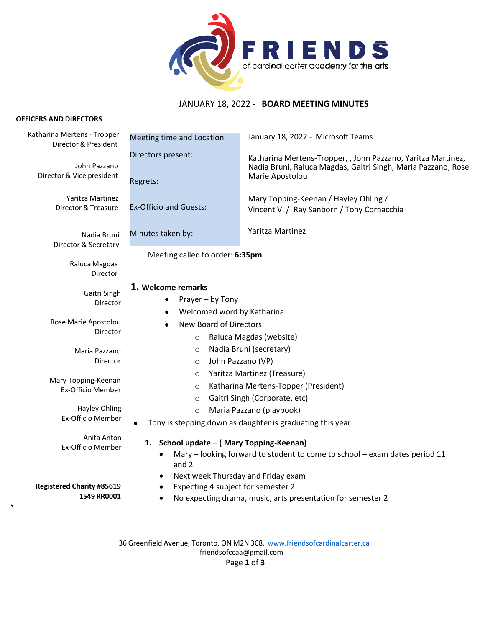

# JANUARY 18, 2022 **- BOARD MEETING MINUTES**

#### **OFFICERS AND DIRECTORS**

**`**

| Katharina Mertens - Tropper<br>Director & President | Meeting time and Location                                                                                                                                                      | January 18, 2022 - Microsoft Teams                                                                                                               |
|-----------------------------------------------------|--------------------------------------------------------------------------------------------------------------------------------------------------------------------------------|--------------------------------------------------------------------------------------------------------------------------------------------------|
| John Pazzano<br>Director & Vice president           | Directors present:<br>Regrets:                                                                                                                                                 | Katharina Mertens-Tropper, , John Pazzano, Yaritza Martinez,<br>Nadia Bruni, Raluca Magdas, Gaitri Singh, Maria Pazzano, Rose<br>Marie Apostolou |
| Yaritza Martinez<br>Director & Treasure             | <b>Ex-Officio and Guests:</b>                                                                                                                                                  | Mary Topping-Keenan / Hayley Ohling /<br>Vincent V. / Ray Sanborn / Tony Cornacchia                                                              |
| Nadia Bruni<br>Director & Secretary                 | Minutes taken by:                                                                                                                                                              | Yaritza Martinez                                                                                                                                 |
| Raluca Magdas<br>Director                           | Meeting called to order: 6:35pm                                                                                                                                                |                                                                                                                                                  |
| Gaitri Singh<br>Director                            | 1. Welcome remarks<br>Prayer - by Tony<br>Welcomed word by Katharina                                                                                                           |                                                                                                                                                  |
| Rose Marie Apostolou<br>Director                    | New Board of Directors:<br>Raluca Magdas (website)<br>$\circ$                                                                                                                  |                                                                                                                                                  |
| Maria Pazzano<br>Director                           | Nadia Bruni (secretary)<br>$\circ$<br>John Pazzano (VP)<br>$\circ$                                                                                                             |                                                                                                                                                  |
| Mary Topping-Keenan<br><b>Ex-Officio Member</b>     | O<br>$\circ$<br>$\circ$                                                                                                                                                        | Yaritza Martinez (Treasure)<br>Katharina Mertens-Topper (President)<br>Gaitri Singh (Corporate, etc)                                             |
| Hayley Ohling<br><b>Ex-Officio Member</b>           | Maria Pazzano (playbook)<br>$\circ$<br>Tony is stepping down as daughter is graduating this year                                                                               |                                                                                                                                                  |
| Anita Anton<br>Ex-Officio Member                    | 1. School update - (Mary Topping-Keenan)<br>Mary - looking forward to student to come to school - exam dates period 11<br>$\bullet$<br>and 2                                   |                                                                                                                                                  |
| <b>Registered Charity #85619</b><br>1549 RR0001     | Next week Thursday and Friday exam<br>$\bullet$<br>Expecting 4 subject for semester 2<br>$\bullet$<br>No expecting drama, music, arts presentation for semester 2<br>$\bullet$ |                                                                                                                                                  |
|                                                     |                                                                                                                                                                                |                                                                                                                                                  |

36 Greenfield Avenue, Toronto, ON M2N 3C8. [www.friendsofcardinalcarter.ca](http://www.friendsofcardinalcarter.ca/) [friendsofccaa@gmail.com](mailto:friendsofccaa@gmail.com) Page **1** of **3**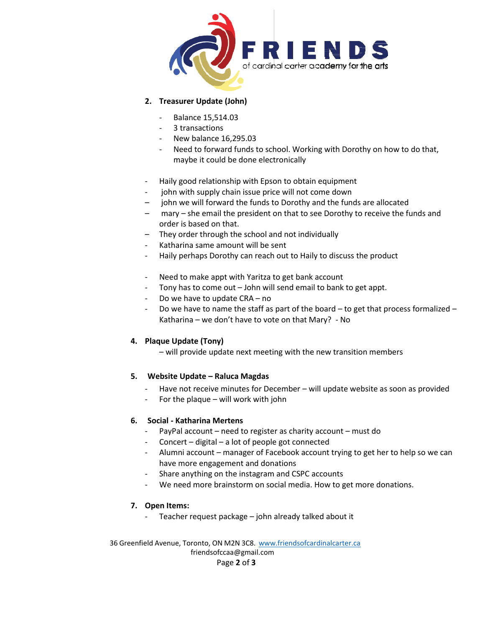

## **2. Treasurer Update (John)**

- Balance 15,514.03
- 3 transactions
- New balance 16,295.03
- Need to forward funds to school. Working with Dorothy on how to do that, maybe it could be done electronically
- Haily good relationship with Epson to obtain equipment
- john with supply chain issue price will not come down
- john we will forward the funds to Dorothy and the funds are allocated
- mary she email the president on that to see Dorothy to receive the funds and order is based on that.
- They order through the school and not individually
- Katharina same amount will be sent
- Haily perhaps Dorothy can reach out to Haily to discuss the product
- Need to make appt with Yaritza to get bank account
- Tony has to come out John will send email to bank to get appt.
- Do we have to update CRA no
- Do we have to name the staff as part of the board to get that process formalized Katharina – we don't have to vote on that Mary? - No

### **4. Plaque Update (Tony)**

– will provide update next meeting with the new transition members

## **5. Website Update – Raluca Magdas**

- Have not receive minutes for December will update website as soon as provided
- For the plaque will work with john

## **6. Social - Katharina Mertens**

- PayPal account need to register as charity account must do
- Concert digital a lot of people got connected
- Alumni account manager of Facebook account trying to get her to help so we can have more engagement and donations
- Share anything on the instagram and CSPC accounts
- We need more brainstorm on social media. How to get more donations.

## **7. Open Items:**

- Teacher request package – john already talked about it

36 Greenfield Avenue, Toronto, ON M2N 3C8. [www.friendsofcardinalcarter.ca](http://www.friendsofcardinalcarter.ca/) [friendsofccaa@gmail.com](mailto:friendsofccaa@gmail.com) Page **2** of **3**